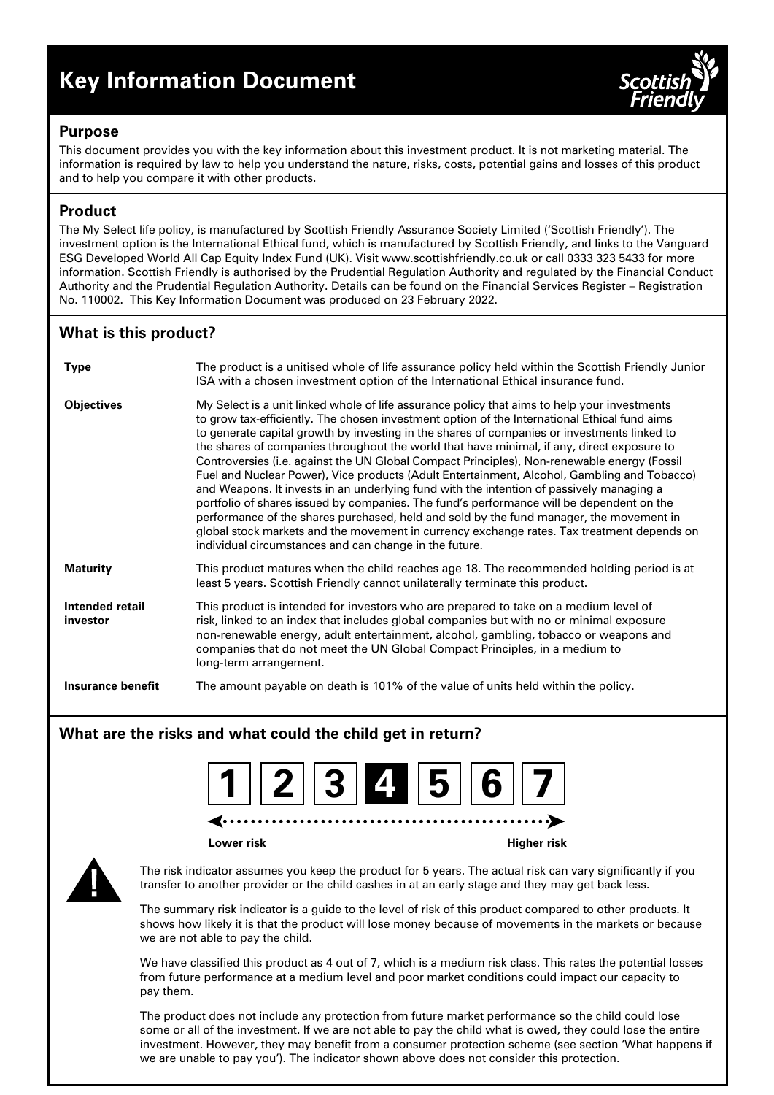# **Key Information Document**



## **Purpose**

This document provides you with the key information about this investment product. It is not marketing material. The information is required by law to help you understand the nature, risks, costs, potential gains and losses of this product and to help you compare it with other products.

# **Product**

The My Select life policy, is manufactured by Scottish Friendly Assurance Society Limited ('Scottish Friendly'). The investment option is the International Ethical fund, which is manufactured by Scottish Friendly, and links to the Vanguard ESG Developed World All Cap Equity Index Fund (UK). Visit www.scottishfriendly.co.uk or call 0333 323 5433 for more information. Scottish Friendly is authorised by the Prudential Regulation Authority and regulated by the Financial Conduct Authority and the Prudential Regulation Authority. Details can be found on the Financial Services Register – Registration No. 110002. This Key Information Document was produced on 23 February 2022.

# **What is this product?**

| <b>Type</b>                 | The product is a unitised whole of life assurance policy held within the Scottish Friendly Junior<br>ISA with a chosen investment option of the International Ethical insurance fund.                                                                                                                                                                                                                                                                                                                                                                                                                                                                                                                                                                                                                                                                                                                                                                                                                                              |
|-----------------------------|------------------------------------------------------------------------------------------------------------------------------------------------------------------------------------------------------------------------------------------------------------------------------------------------------------------------------------------------------------------------------------------------------------------------------------------------------------------------------------------------------------------------------------------------------------------------------------------------------------------------------------------------------------------------------------------------------------------------------------------------------------------------------------------------------------------------------------------------------------------------------------------------------------------------------------------------------------------------------------------------------------------------------------|
| <b>Objectives</b>           | My Select is a unit linked whole of life assurance policy that aims to help your investments<br>to grow tax-efficiently. The chosen investment option of the International Ethical fund aims<br>to generate capital growth by investing in the shares of companies or investments linked to<br>the shares of companies throughout the world that have minimal, if any, direct exposure to<br>Controversies (i.e. against the UN Global Compact Principles), Non-renewable energy (Fossil<br>Fuel and Nuclear Power), Vice products (Adult Entertainment, Alcohol, Gambling and Tobacco)<br>and Weapons. It invests in an underlying fund with the intention of passively managing a<br>portfolio of shares issued by companies. The fund's performance will be dependent on the<br>performance of the shares purchased, held and sold by the fund manager, the movement in<br>global stock markets and the movement in currency exchange rates. Tax treatment depends on<br>individual circumstances and can change in the future. |
| <b>Maturity</b>             | This product matures when the child reaches age 18. The recommended holding period is at<br>least 5 years. Scottish Friendly cannot unilaterally terminate this product.                                                                                                                                                                                                                                                                                                                                                                                                                                                                                                                                                                                                                                                                                                                                                                                                                                                           |
| Intended retail<br>investor | This product is intended for investors who are prepared to take on a medium level of<br>risk, linked to an index that includes global companies but with no or minimal exposure<br>non-renewable energy, adult entertainment, alcohol, gambling, tobacco or weapons and<br>companies that do not meet the UN Global Compact Principles, in a medium to<br>long-term arrangement.                                                                                                                                                                                                                                                                                                                                                                                                                                                                                                                                                                                                                                                   |
| <b>Insurance benefit</b>    | The amount payable on death is 101% of the value of units held within the policy.                                                                                                                                                                                                                                                                                                                                                                                                                                                                                                                                                                                                                                                                                                                                                                                                                                                                                                                                                  |

## **What are the risks and what could the child get in return?**



**Lower risk Higher risk**



The risk indicator assumes you keep the product for 5 years. The actual risk can vary significantly if you transfer to another provider or the child cashes in at an early stage and they may get back less.

The summary risk indicator is a guide to the level of risk of this product compared to other products. It shows how likely it is that the product will lose money because of movements in the markets or because we are not able to pay the child.

We have classified this product as 4 out of 7, which is a medium risk class. This rates the potential losses from future performance at a medium level and poor market conditions could impact our capacity to pay them.

The product does not include any protection from future market performance so the child could lose some or all of the investment. If we are not able to pay the child what is owed, they could lose the entire investment. However, they may benefit from a consumer protection scheme (see section 'What happens if we are unable to pay you'). The indicator shown above does not consider this protection.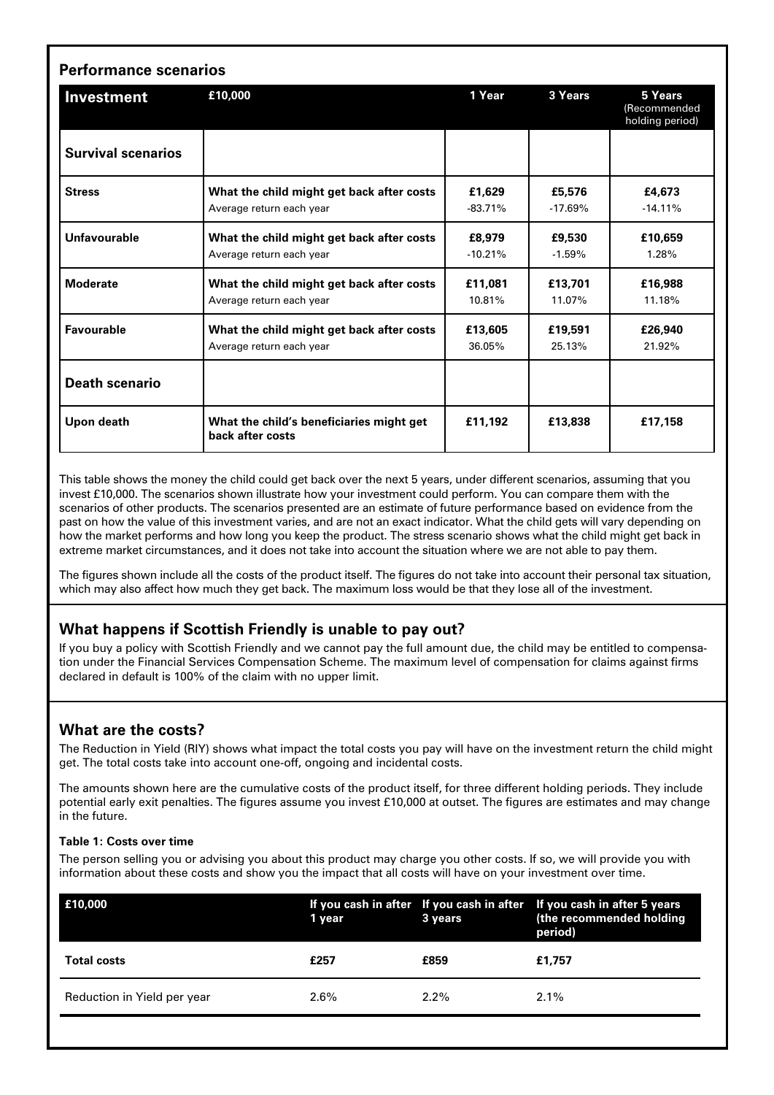| <b>Performance scenarios</b> |                                                                       |                     |                     |                                            |  |  |
|------------------------------|-----------------------------------------------------------------------|---------------------|---------------------|--------------------------------------------|--|--|
| Investment                   | £10,000                                                               | 1 Year              | 3 Years             | 5 Years<br>(Recommended<br>holding period) |  |  |
| <b>Survival scenarios</b>    |                                                                       |                     |                     |                                            |  |  |
| <b>Stress</b>                | What the child might get back after costs<br>Average return each year | £1,629<br>$-83.71%$ | £5,576<br>$-17.69%$ | £4,673<br>$-14.11%$                        |  |  |
| Unfavourable                 | What the child might get back after costs<br>Average return each year | £8,979<br>$-10.21%$ | £9,530<br>$-1.59%$  | £10,659<br>1.28%                           |  |  |
| <b>Moderate</b>              | What the child might get back after costs<br>Average return each year | £11.081<br>10.81%   | £13,701<br>11.07%   | £16.988<br>11.18%                          |  |  |
| Favourable                   | What the child might get back after costs<br>Average return each year | £13,605<br>36.05%   | £19,591<br>25.13%   | £26.940<br>21.92%                          |  |  |
| <b>Death scenario</b>        |                                                                       |                     |                     |                                            |  |  |
| Upon death                   | What the child's beneficiaries might get<br>back after costs          | £11.192             | £13,838             | £17,158                                    |  |  |

This table shows the money the child could get back over the next 5 years, under different scenarios, assuming that you invest £10,000. The scenarios shown illustrate how your investment could perform. You can compare them with the scenarios of other products. The scenarios presented are an estimate of future performance based on evidence from the past on how the value of this investment varies, and are not an exact indicator. What the child gets will vary depending on how the market performs and how long you keep the product. The stress scenario shows what the child might get back in extreme market circumstances, and it does not take into account the situation where we are not able to pay them.

The figures shown include all the costs of the product itself. The figures do not take into account their personal tax situation, which may also affect how much they get back. The maximum loss would be that they lose all of the investment.

## **What happens if Scottish Friendly is unable to pay out?**

If you buy a policy with Scottish Friendly and we cannot pay the full amount due, the child may be entitled to compensation under the Financial Services Compensation Scheme. The maximum level of compensation for claims against firms declared in default is 100% of the claim with no upper limit.

## **What are the costs?**

The Reduction in Yield (RIY) shows what impact the total costs you pay will have on the investment return the child might get. The total costs take into account one-off, ongoing and incidental costs.

The amounts shown here are the cumulative costs of the product itself, for three different holding periods. They include potential early exit penalties. The figures assume you invest £10,000 at outset. The figures are estimates and may change in the future.

#### **Table 1: Costs over time**

The person selling you or advising you about this product may charge you other costs. If so, we will provide you with information about these costs and show you the impact that all costs will have on your investment over time.

| E10,000                     | 1 year  | 3 years | If you cash in after If you cash in after If you cash in after 5 years<br>(the recommended holding<br>period) |
|-----------------------------|---------|---------|---------------------------------------------------------------------------------------------------------------|
| <b>Total costs</b>          | £257    | £859    | £1.757                                                                                                        |
| Reduction in Yield per year | $2.6\%$ | $2.2\%$ | 2.1%                                                                                                          |